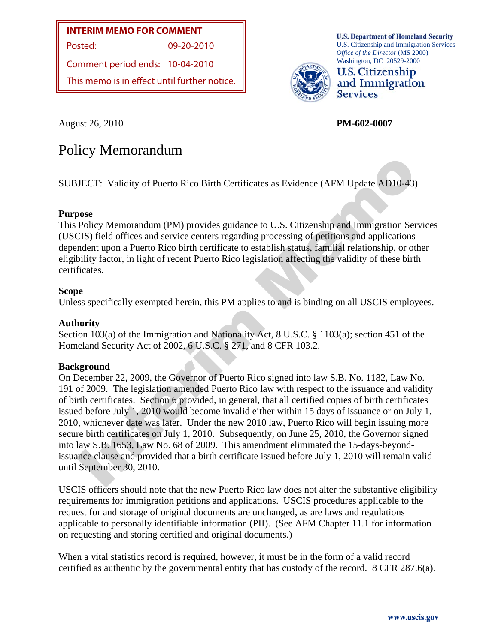# **INTERIM MEMO FOR COMMENT**

Posted: 09-20-2010

Comment period ends: 10-04-2010

This memo is in effect until further notice.

**U.S. Department of Homeland Security** U.S. Citizenship and Immigration Services *Office of the Director* (MS 2000) Washington, DC 20529-2000



**U.S. Citizenship** and Immigration **Services** 

August 26, 2010 **PM-602-0007** 

# Policy Memorandum

SUBJECT: Validity of Puerto Rico Birth Certificates as Evidence (AFM Update AD10-43)

### **Purpose**

This Policy Memorandum (PM) provides guidance to U.S. Citizenship and Immigration Services (USCIS) field offices and service centers regarding processing of petitions and applications dependent upon a Puerto Rico birth certificate to establish status, familial relationship, or other eligibility factor, in light of recent Puerto Rico legislation affecting the validity of these birth certificates.

#### **Scope**

Unless specifically exempted herein, this PM applies to and is binding on all USCIS employees.

#### **Authority**

Section 103(a) of the Immigration and Nationality Act, 8 U.S.C. § 1103(a); section 451 of the Homeland Security Act of 2002, 6 U.S.C. § 271, and 8 CFR 103.2.

### **Background**

UECT: Validity of Puerto Rico Birth Certificates as Evidence (AFM Update AD10-43)<br>
space<br>
pose<br>
Policy Memorandum (PM) provides guidance to U.S. Citizenship and Immigration Servic<br>
CIS) field offices and service centers re On December 22, 2009, the Governor of Puerto Rico signed into law S.B. No. 1182, Law No. 191 of 2009. The legislation amended Puerto Rico law with respect to the issuance and validity of birth certificates. Section 6 provided, in general, that all certified copies of birth certificates issued before July 1, 2010 would become invalid either within 15 days of issuance or on July 1, 2010, whichever date was later. Under the new 2010 law, Puerto Rico will begin issuing more secure birth certificates on July 1, 2010. Subsequently, on June 25, 2010, the Governor signed into law S.B. 1653, Law No. 68 of 2009. This amendment eliminated the 15-days-beyondissuance clause and provided that a birth certificate issued before July 1, 2010 will remain valid until September 30, 2010.

USCIS officers should note that the new Puerto Rico law does not alter the substantive eligibility requirements for immigration petitions and applications. USCIS procedures applicable to the request for and storage of original documents are unchanged, as are laws and regulations applicable to personally identifiable information (PII). (See AFM Chapter 11.1 for information on requesting and storing certified and original documents.)

When a vital statistics record is required, however, it must be in the form of a valid record certified as authentic by the governmental entity that has custody of the record. 8 CFR 287.6(a).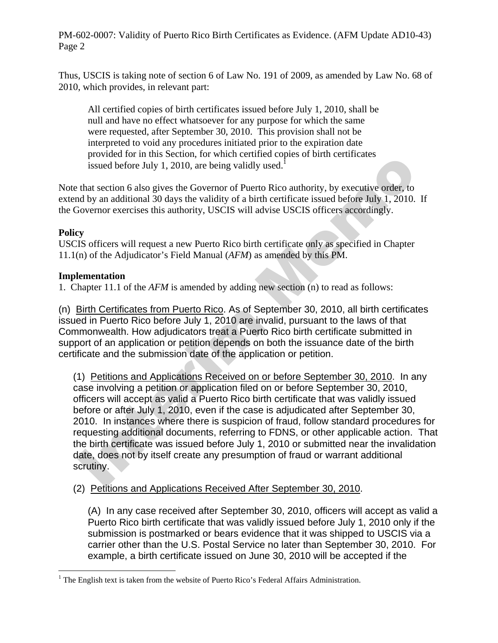Thus, USCIS is taking note of section 6 of Law No. 191 of 2009, as amended by Law No. 68 of 2010, which provides, in relevant part:

 All certified copies of birth certificates issued before July 1, 2010, shall be null and have no effect whatsoever for any purpose for which the same were requested, after September 30, 2010. This provision shall not be interpreted to void any procedures initiated prior to the expiration date provided for in this Section, for which certified copies of birth certificates issued before July 1, 2010, are being validly used.<sup>1</sup>

Note that section 6 also gives the Governor of Puerto Rico authority, by executive order, to extend by an additional 30 days the validity of a birth certificate issued before July 1, 2010. If the Governor exercises this authority, USCIS will advise USCIS officers accordingly.

## **Policy**

USCIS officers will request a new Puerto Rico birth certificate only as specified in Chapter 11.1(n) of the Adjudicator's Field Manual (*AFM*) as amended by this PM.

## **Implementation**

1. Chapter 11.1 of the *AFM* is amended by adding new section (n) to read as follows:

(n) Birth Certificates from Puerto Rico. As of September 30, 2010, all birth certificates issued in Puerto Rico before July 1, 2010 are invalid, pursuant to the laws of that Commonwealth. How adjudicators treat a Puerto Rico birth certificate submitted in support of an application or petition depends on both the issuance date of the birth certificate and the submission date of the application or petition.

provaded boro and so-ctom, are when extends of these issued before July 1, 2010, are being validly used.<br>
that section 6 also gives the Governor of Puerto Rico authority, by executive order, to<br>
that section 6 also gives (1) Petitions and Applications Received on or before September 30, 2010. In any case involving a petition or application filed on or before September 30, 2010, officers will accept as valid a Puerto Rico birth certificate that was validly issued before or after July 1, 2010, even if the case is adjudicated after September 30, 2010. In instances where there is suspicion of fraud, follow standard procedures for requesting additional documents, referring to FDNS, or other applicable action. That the birth certificate was issued before July 1, 2010 or submitted near the invalidation date, does not by itself create any presumption of fraud or warrant additional scrutiny.

# (2) Petitions and Applications Received After September 30, 2010.

(A) In any case received after September 30, 2010, officers will accept as valid a Puerto Rico birth certificate that was validly issued before July 1, 2010 only if the submission is postmarked or bears evidence that it was shipped to USCIS via a carrier other than the U.S. Postal Service no later than September 30, 2010. For example, a birth certificate issued on June 30, 2010 will be accepted if the

<sup>&</sup>lt;sup>1</sup> The English text is taken from the website of Puerto Rico's Federal Affairs Administration.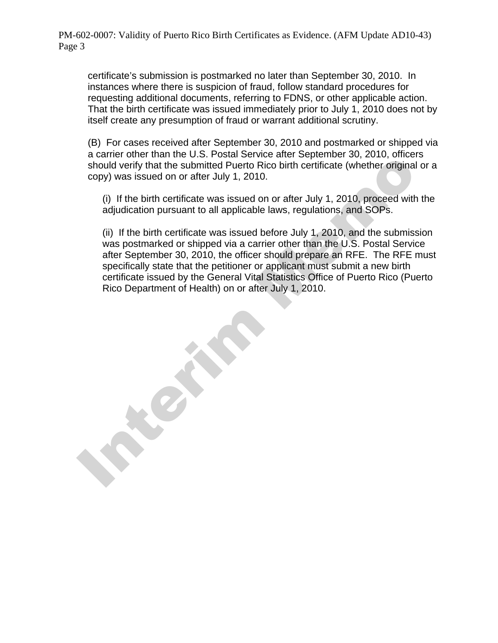certificate's submission is postmarked no later than September 30, 2010. In instances where there is suspicion of fraud, follow standard procedures for requesting additional documents, referring to FDNS, or other applicable action. That the birth certificate was issued immediately prior to July 1, 2010 does not by itself create any presumption of fraud or warrant additional scrutiny.

(B) For cases received after September 30, 2010 and postmarked or shipped via a carrier other than the U.S. Postal Service after September 30, 2010, officers should verify that the submitted Puerto Rico birth certificate (whether original or a copy) was issued on or after July 1, 2010.

(i) If the birth certificate was issued on or after July 1, 2010, proceed with the adjudication pursuant to all applicable laws, regulations, and SOPs.

(ii) If the birth certificate was issued before July 1, 2010, and the submission was postmarked or shipped via a carrier other than the U.S. Postal Service after September 30, 2010, the officer should prepare an RFE. The RFE must specifically state that the petitioner or applicant must submit a new birth certificate issued by the General Vital Statistics Office of Puerto Rico (Puerto Rico Department of Health) on or after July 1, 2010.

Interim Memo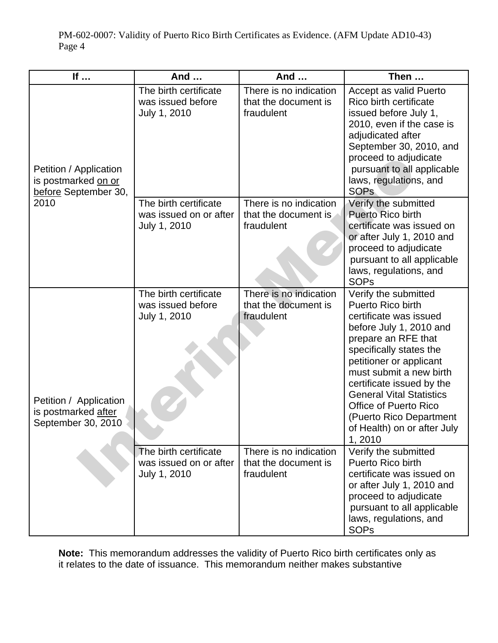| If                                                                            | And                                                             | And                                                          | Then                                                                                                                                                                                                                                                                                                                                                                        |
|-------------------------------------------------------------------------------|-----------------------------------------------------------------|--------------------------------------------------------------|-----------------------------------------------------------------------------------------------------------------------------------------------------------------------------------------------------------------------------------------------------------------------------------------------------------------------------------------------------------------------------|
| Petition / Application<br>is postmarked on or<br>before September 30,<br>2010 | The birth certificate<br>was issued before<br>July 1, 2010      | There is no indication<br>that the document is<br>fraudulent | Accept as valid Puerto<br>Rico birth certificate<br>issued before July 1,<br>2010, even if the case is<br>adjudicated after<br>September 30, 2010, and<br>proceed to adjudicate<br>pursuant to all applicable<br>laws, regulations, and<br><b>SOPs</b>                                                                                                                      |
|                                                                               | The birth certificate<br>was issued on or after<br>July 1, 2010 | There is no indication<br>that the document is<br>fraudulent | Verify the submitted<br><b>Puerto Rico birth</b><br>certificate was issued on<br>or after July 1, 2010 and<br>proceed to adjudicate<br>pursuant to all applicable<br>laws, regulations, and<br><b>SOPs</b>                                                                                                                                                                  |
| Petition / Application<br>is postmarked after<br>September 30, 2010           | The birth certificate<br>was issued before<br>July 1, 2010      | There is no indication<br>that the document is<br>fraudulent | Verify the submitted<br>Puerto Rico birth<br>certificate was issued<br>before July 1, 2010 and<br>prepare an RFE that<br>specifically states the<br>petitioner or applicant<br>must submit a new birth<br>certificate issued by the<br><b>General Vital Statistics</b><br><b>Office of Puerto Rico</b><br>(Puerto Rico Department<br>of Health) on or after July<br>1, 2010 |
|                                                                               | The birth certificate<br>was issued on or after<br>July 1, 2010 | There is no indication<br>that the document is<br>fraudulent | Verify the submitted<br>Puerto Rico birth<br>certificate was issued on<br>or after July 1, 2010 and<br>proceed to adjudicate<br>pursuant to all applicable<br>laws, regulations, and<br><b>SOPs</b>                                                                                                                                                                         |

**Note:** This memorandum addresses the validity of Puerto Rico birth certificates only as it relates to the date of issuance. This memorandum neither makes substantive